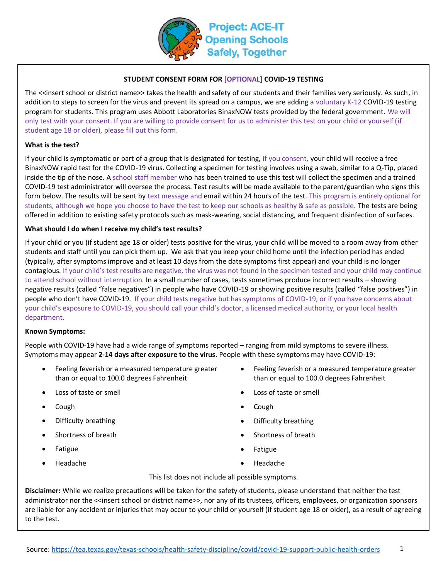

## **STUDENT CONSENT FORM FOR [OPTIONAL] COVID-19 TESTING**

The <<insert school or district name>> takes the health and safety of our students and their families very seriously. As such, in addition to steps to screen for the virus and prevent its spread on a campus, we are adding a voluntary K-12 COVID-19 testing program for students. This program uses Abbott Laboratories BinaxNOW tests provided by the federal government. We will only test with your consent. If you are willing to provide consent for us to administer this test on your child or yourself (if student age 18 or older), please fill out this form.

### **What is the test?**

If your child is symptomatic or part of a group that is designated for testing, if you consent, your child will receive a free BinaxNOW rapid test for the COVID-19 virus. Collecting a specimen for testing involves using a swab, similar to a Q-Tip, placed inside the tip of the nose. A school staff member who has been trained to use this test will collect the specimen and a trained COVID-19 test administrator will oversee the process. Test results will be made available to the parent/guardian who signs this form below. The results will be sent by text message and email within 24 hours of the test. This program is entirely optional for students, although we hope you choose to have the test to keep our schools as healthy & safe as possible. The tests are being offered in addition to existing safety protocols such as mask-wearing, social distancing, and frequent disinfection of surfaces.

#### **What should I do when I receive my child's test results?**

If your child or you (if student age 18 or older) tests positive for the virus, your child will be moved to a room away from other students and staff until you can pick them up. We ask that you keep your child home until the infection period has ended (typically, after symptoms improve and at least 10 days from the date symptoms first appear) and your child is no longer contagious. If your child's test results are negative, the virus was not found in the specimen tested and your child may continue to attend school without interruption. In a small number of cases, tests sometimes produce incorrect results – showing negative results (called "false negatives") in people who have COVID-19 or showing positive results (called "false positives") in people who don't have COVID-19. If your child tests negative but has symptoms of COVID-19, or if you have concerns about your child's exposure to COVID-19, you should call your child's doctor, a licensed medical authority, or your local health department.

#### **Known Symptoms:**

People with COVID-19 have had a wide range of symptoms reported – ranging from mild symptoms to severe illness. Symptoms may appear **2-14 days after exposure to the virus**. People with these symptoms may have COVID-19:

- Feeling feverish or a measured temperature greater than or equal to 100.0 degrees Fahrenheit
- 
- Cough  **Cough Cough Cough Cough Cough •** Cough Cough Cough Cough Cough Cough Cough Cough Cough Cough Cough Cough Cough Cough Cough Cough Cough Cough Cough Cough Cough Co
- 
- 
- 
- 
- Feeling feverish or a measured temperature greater than or equal to 100.0 degrees Fahrenheit
- Loss of taste or smell Loss of taste or smell
	-
- **Difficulty breathing the contract of the contract of the contract of the Difficulty breathing**
- **Shortness of breath Shortness of breath Shortness of breath**
- Fatigue Fatigue Fatigue
	- Headache Headache

This list does not include all possible symptoms.

**Disclaimer:** While we realize precautions will be taken for the safety of students, please understand that neither the test administrator nor the <<insert school or district name>>, nor any of its trustees, officers, employees, or organization sponsors are liable for any accident or injuries that may occur to your child or yourself (if student age 18 or older), as a result of agreeing to the test.